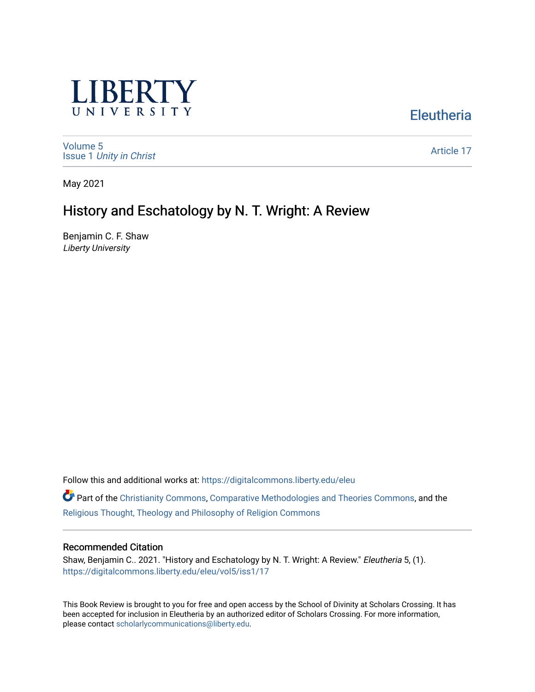

## **Eleutheria**

[Volume 5](https://digitalcommons.liberty.edu/eleu/vol5) Issue 1 [Unity in Christ](https://digitalcommons.liberty.edu/eleu/vol5/iss1) 

[Article 17](https://digitalcommons.liberty.edu/eleu/vol5/iss1/17) 

May 2021

# History and Eschatology by N. T. Wright: A Review

Benjamin C. F. Shaw Liberty University

Follow this and additional works at: [https://digitalcommons.liberty.edu/eleu](https://digitalcommons.liberty.edu/eleu?utm_source=digitalcommons.liberty.edu%2Feleu%2Fvol5%2Fiss1%2F17&utm_medium=PDF&utm_campaign=PDFCoverPages) 

Part of the [Christianity Commons,](http://network.bepress.com/hgg/discipline/1181?utm_source=digitalcommons.liberty.edu%2Feleu%2Fvol5%2Fiss1%2F17&utm_medium=PDF&utm_campaign=PDFCoverPages) [Comparative Methodologies and Theories Commons,](http://network.bepress.com/hgg/discipline/540?utm_source=digitalcommons.liberty.edu%2Feleu%2Fvol5%2Fiss1%2F17&utm_medium=PDF&utm_campaign=PDFCoverPages) and the [Religious Thought, Theology and Philosophy of Religion Commons](http://network.bepress.com/hgg/discipline/544?utm_source=digitalcommons.liberty.edu%2Feleu%2Fvol5%2Fiss1%2F17&utm_medium=PDF&utm_campaign=PDFCoverPages) 

#### Recommended Citation

Shaw, Benjamin C.. 2021. "History and Eschatology by N. T. Wright: A Review." Eleutheria 5, (1). [https://digitalcommons.liberty.edu/eleu/vol5/iss1/17](https://digitalcommons.liberty.edu/eleu/vol5/iss1/17?utm_source=digitalcommons.liberty.edu%2Feleu%2Fvol5%2Fiss1%2F17&utm_medium=PDF&utm_campaign=PDFCoverPages)

This Book Review is brought to you for free and open access by the School of Divinity at Scholars Crossing. It has been accepted for inclusion in Eleutheria by an authorized editor of Scholars Crossing. For more information, please contact [scholarlycommunications@liberty.edu.](mailto:scholarlycommunications@liberty.edu)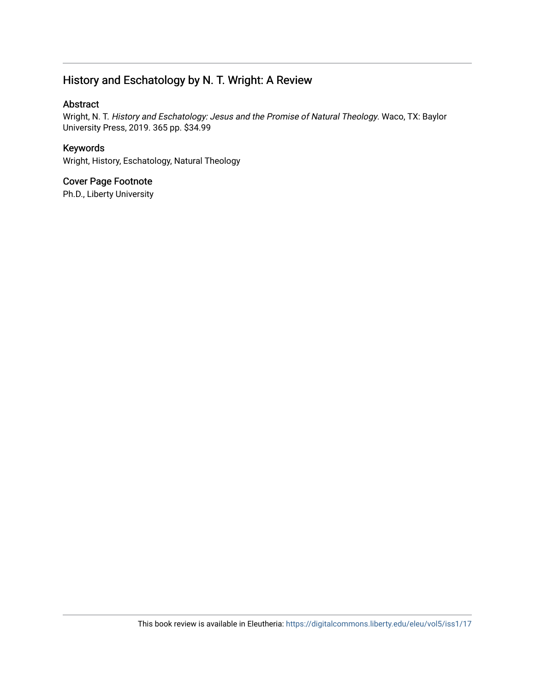### History and Eschatology by N. T. Wright: A Review

### Abstract

Wright, N. T. History and Eschatology: Jesus and the Promise of Natural Theology. Waco, TX: Baylor University Press, 2019. 365 pp. \$34.99

### Keywords

Wright, History, Eschatology, Natural Theology

### Cover Page Footnote

Ph.D., Liberty University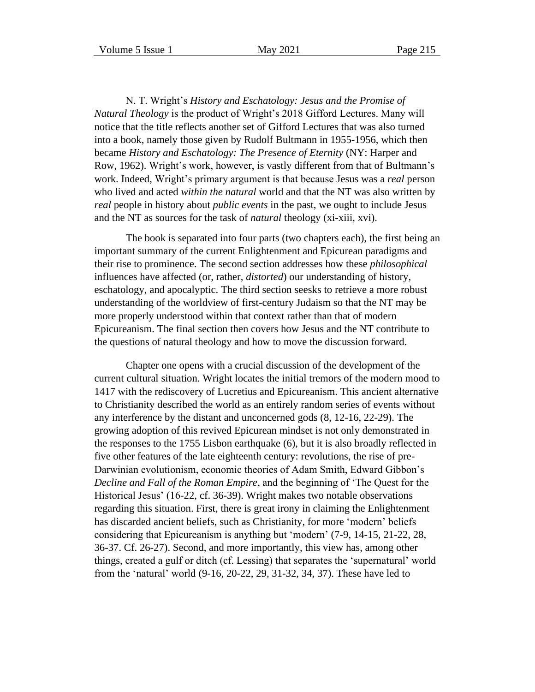N. T. Wright's *History and Eschatology: Jesus and the Promise of Natural Theology* is the product of Wright's 2018 Gifford Lectures. Many will notice that the title reflects another set of Gifford Lectures that was also turned into a book, namely those given by Rudolf Bultmann in 1955-1956, which then became *History and Eschatology: The Presence of Eternity* (NY: Harper and Row, 1962). Wright's work, however, is vastly different from that of Bultmann's work. Indeed, Wright's primary argument is that because Jesus was a *real* person who lived and acted *within the natural* world and that the NT was also written by *real* people in history about *public events* in the past, we ought to include Jesus and the NT as sources for the task of *natural* theology (xi-xiii, xvi).

The book is separated into four parts (two chapters each), the first being an important summary of the current Enlightenment and Epicurean paradigms and their rise to prominence. The second section addresses how these *philosophical* influences have affected (or, rather, *distorted*) our understanding of history, eschatology, and apocalyptic. The third section seesks to retrieve a more robust understanding of the worldview of first-century Judaism so that the NT may be more properly understood within that context rather than that of modern Epicureanism. The final section then covers how Jesus and the NT contribute to the questions of natural theology and how to move the discussion forward.

Chapter one opens with a crucial discussion of the development of the current cultural situation. Wright locates the initial tremors of the modern mood to 1417 with the rediscovery of Lucretius and Epicureanism. This ancient alternative to Christianity described the world as an entirely random series of events without any interference by the distant and unconcerned gods (8, 12-16, 22-29). The growing adoption of this revived Epicurean mindset is not only demonstrated in the responses to the 1755 Lisbon earthquake (6), but it is also broadly reflected in five other features of the late eighteenth century: revolutions, the rise of pre-Darwinian evolutionism, economic theories of Adam Smith, Edward Gibbon's *Decline and Fall of the Roman Empire*, and the beginning of 'The Quest for the Historical Jesus' (16-22, cf. 36-39). Wright makes two notable observations regarding this situation. First, there is great irony in claiming the Enlightenment has discarded ancient beliefs, such as Christianity, for more 'modern' beliefs considering that Epicureanism is anything but 'modern' (7-9, 14-15, 21-22, 28, 36-37. Cf. 26-27). Second, and more importantly, this view has, among other things, created a gulf or ditch (cf. Lessing) that separates the 'supernatural' world from the 'natural' world (9-16, 20-22, 29, 31-32, 34, 37). These have led to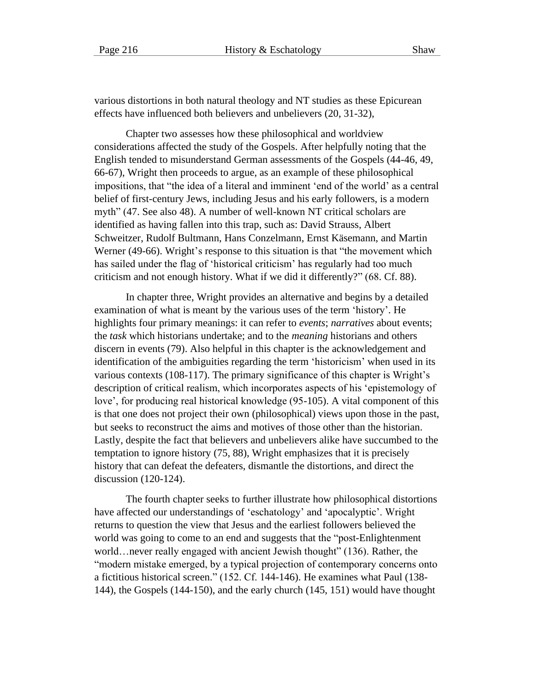various distortions in both natural theology and NT studies as these Epicurean effects have influenced both believers and unbelievers (20, 31-32),

Chapter two assesses how these philosophical and worldview considerations affected the study of the Gospels. After helpfully noting that the English tended to misunderstand German assessments of the Gospels (44-46, 49, 66-67), Wright then proceeds to argue, as an example of these philosophical impositions, that "the idea of a literal and imminent 'end of the world' as a central belief of first-century Jews, including Jesus and his early followers, is a modern myth" (47. See also 48). A number of well-known NT critical scholars are identified as having fallen into this trap, such as: David Strauss, Albert Schweitzer, Rudolf Bultmann, Hans Conzelmann, Ernst Käsemann, and Martin Werner (49-66). Wright's response to this situation is that "the movement which has sailed under the flag of 'historical criticism' has regularly had too much criticism and not enough history. What if we did it differently?" (68. Cf. 88).

In chapter three, Wright provides an alternative and begins by a detailed examination of what is meant by the various uses of the term 'history'. He highlights four primary meanings: it can refer to *events*; *narratives* about events; the *task* which historians undertake; and to the *meaning* historians and others discern in events (79). Also helpful in this chapter is the acknowledgement and identification of the ambiguities regarding the term 'historicism' when used in its various contexts (108-117). The primary significance of this chapter is Wright's description of critical realism, which incorporates aspects of his 'epistemology of love', for producing real historical knowledge (95-105). A vital component of this is that one does not project their own (philosophical) views upon those in the past, but seeks to reconstruct the aims and motives of those other than the historian. Lastly, despite the fact that believers and unbelievers alike have succumbed to the temptation to ignore history (75, 88), Wright emphasizes that it is precisely history that can defeat the defeaters, dismantle the distortions, and direct the discussion (120-124).

The fourth chapter seeks to further illustrate how philosophical distortions have affected our understandings of 'eschatology' and 'apocalyptic'. Wright returns to question the view that Jesus and the earliest followers believed the world was going to come to an end and suggests that the "post-Enlightenment world…never really engaged with ancient Jewish thought" (136). Rather, the "modern mistake emerged, by a typical projection of contemporary concerns onto a fictitious historical screen." (152. Cf. 144-146). He examines what Paul (138- 144), the Gospels (144-150), and the early church (145, 151) would have thought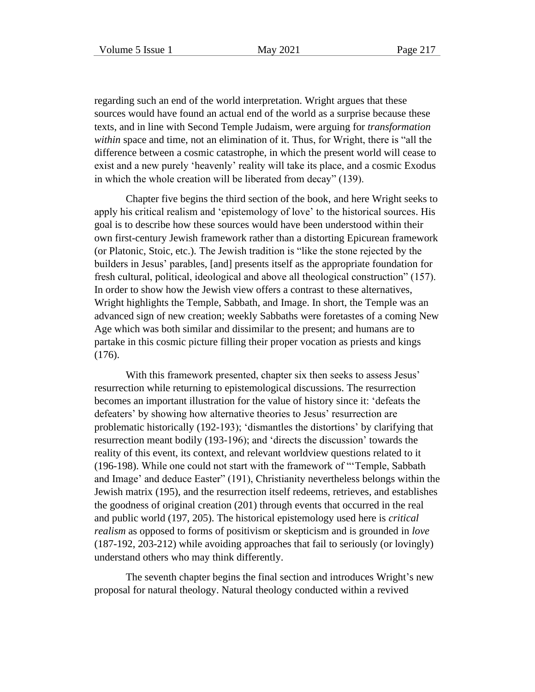regarding such an end of the world interpretation. Wright argues that these sources would have found an actual end of the world as a surprise because these texts, and in line with Second Temple Judaism, were arguing for *transformation within* space and time, not an elimination of it. Thus, for Wright, there is "all the difference between a cosmic catastrophe, in which the present world will cease to exist and a new purely 'heavenly' reality will take its place, and a cosmic Exodus in which the whole creation will be liberated from decay" (139).

Chapter five begins the third section of the book, and here Wright seeks to apply his critical realism and 'epistemology of love' to the historical sources. His goal is to describe how these sources would have been understood within their own first-century Jewish framework rather than a distorting Epicurean framework (or Platonic, Stoic, etc.). The Jewish tradition is "like the stone rejected by the builders in Jesus' parables, [and] presents itself as the appropriate foundation for fresh cultural, political, ideological and above all theological construction" (157). In order to show how the Jewish view offers a contrast to these alternatives, Wright highlights the Temple, Sabbath, and Image. In short, the Temple was an advanced sign of new creation; weekly Sabbaths were foretastes of a coming New Age which was both similar and dissimilar to the present; and humans are to partake in this cosmic picture filling their proper vocation as priests and kings (176).

With this framework presented, chapter six then seeks to assess Jesus' resurrection while returning to epistemological discussions. The resurrection becomes an important illustration for the value of history since it: 'defeats the defeaters' by showing how alternative theories to Jesus' resurrection are problematic historically (192-193); 'dismantles the distortions' by clarifying that resurrection meant bodily (193-196); and 'directs the discussion' towards the reality of this event, its context, and relevant worldview questions related to it (196-198). While one could not start with the framework of "'Temple, Sabbath and Image' and deduce Easter" (191), Christianity nevertheless belongs within the Jewish matrix (195), and the resurrection itself redeems, retrieves, and establishes the goodness of original creation (201) through events that occurred in the real and public world (197, 205). The historical epistemology used here is *critical realism* as opposed to forms of positivism or skepticism and is grounded in *love* (187-192, 203-212) while avoiding approaches that fail to seriously (or lovingly) understand others who may think differently.

The seventh chapter begins the final section and introduces Wright's new proposal for natural theology. Natural theology conducted within a revived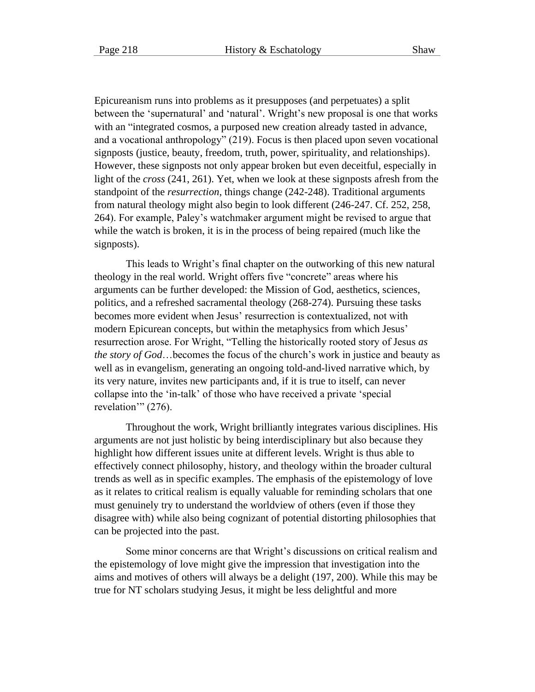Epicureanism runs into problems as it presupposes (and perpetuates) a split between the 'supernatural' and 'natural'. Wright's new proposal is one that works with an "integrated cosmos, a purposed new creation already tasted in advance, and a vocational anthropology" (219). Focus is then placed upon seven vocational signposts (justice, beauty, freedom, truth, power, spirituality, and relationships). However, these signposts not only appear broken but even deceitful, especially in light of the *cross* (241, 261). Yet, when we look at these signposts afresh from the standpoint of the *resurrection*, things change (242-248). Traditional arguments from natural theology might also begin to look different (246-247. Cf. 252, 258, 264). For example, Paley's watchmaker argument might be revised to argue that while the watch is broken, it is in the process of being repaired (much like the signposts).

This leads to Wright's final chapter on the outworking of this new natural theology in the real world. Wright offers five "concrete" areas where his arguments can be further developed: the Mission of God, aesthetics, sciences, politics, and a refreshed sacramental theology (268-274). Pursuing these tasks becomes more evident when Jesus' resurrection is contextualized, not with modern Epicurean concepts, but within the metaphysics from which Jesus' resurrection arose. For Wright, "Telling the historically rooted story of Jesus *as the story of God*…becomes the focus of the church's work in justice and beauty as well as in evangelism, generating an ongoing told-and-lived narrative which, by its very nature, invites new participants and, if it is true to itself, can never collapse into the 'in-talk' of those who have received a private 'special revelation'" (276).

Throughout the work, Wright brilliantly integrates various disciplines. His arguments are not just holistic by being interdisciplinary but also because they highlight how different issues unite at different levels. Wright is thus able to effectively connect philosophy, history, and theology within the broader cultural trends as well as in specific examples. The emphasis of the epistemology of love as it relates to critical realism is equally valuable for reminding scholars that one must genuinely try to understand the worldview of others (even if those they disagree with) while also being cognizant of potential distorting philosophies that can be projected into the past.

Some minor concerns are that Wright's discussions on critical realism and the epistemology of love might give the impression that investigation into the aims and motives of others will always be a delight (197, 200). While this may be true for NT scholars studying Jesus, it might be less delightful and more